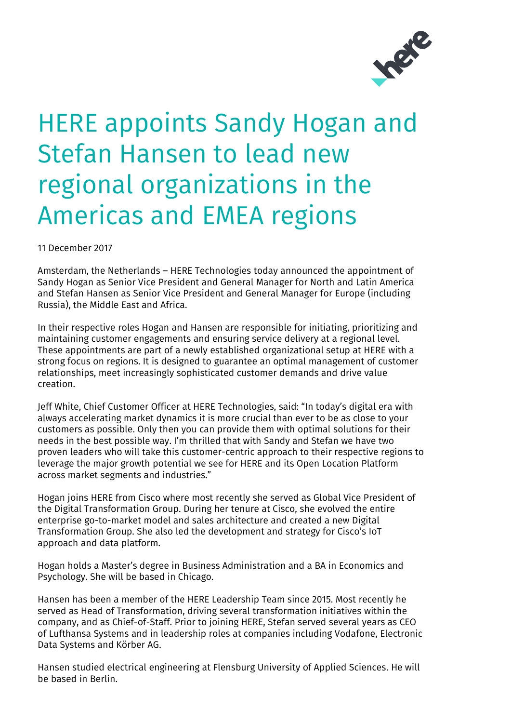

## HERE appoints Sandy Hogan and Stefan Hansen to lead new regional organizations in the Americas and EMEA regions

11 December 2017

Amsterdam, the Netherlands – HERE Technologies today announced the appointment of Sandy Hogan as Senior Vice President and General Manager for North and Latin America and Stefan Hansen as Senior Vice President and General Manager for Europe (including Russia), the Middle East and Africa.

In their respective roles Hogan and Hansen are responsible for initiating, prioritizing and maintaining customer engagements and ensuring service delivery at a regional level. These appointments are part of a newly established organizational setup at HERE with a strong focus on regions. It is designed to guarantee an optimal management of customer relationships, meet increasingly sophisticated customer demands and drive value creation.

Jeff White, Chief Customer Officer at HERE Technologies, said: "In today's digital era with always accelerating market dynamics it is more crucial than ever to be as close to your customers as possible. Only then you can provide them with optimal solutions for their needs in the best possible way. I'm thrilled that with Sandy and Stefan we have two proven leaders who will take this customer-centric approach to their respective regions to leverage the major growth potential we see for HERE and its Open Location Platform across market segments and industries."

Hogan joins HERE from Cisco where most recently she served as Global Vice President of the Digital Transformation Group. During her tenure at Cisco, she evolved the entire enterprise go-to-market model and sales architecture and created a new Digital Transformation Group. She also led the development and strategy for Cisco's IoT approach and data platform.

Hogan holds a Master's degree in Business Administration and a BA in Economics and Psychology. She will be based in Chicago.

Hansen has been a member of the HERE Leadership Team since 2015. Most recently he served as Head of Transformation, driving several transformation initiatives within the company, and as Chief-of-Staff. Prior to joining HERE, Stefan served several years as CEO of Lufthansa Systems and in leadership roles at companies including Vodafone, Electronic Data Systems and Körber AG.

Hansen studied electrical engineering at Flensburg University of Applied Sciences. He will be based in Berlin.